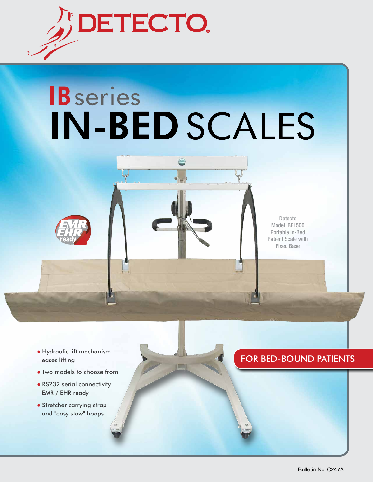

# **IB** series **IN-BED SCALES**



Detecto Model IBFL500 Portable In-Bed Patient Scale with Fixed Base

- Hydraulic lift mechanism eases lifting
- Two models to choose from
- RS232 serial connectivity: EMR / EHR ready
- Stretcher carrying strap and "easy stow" hoops

## FOR BED-BOUND PATIENTS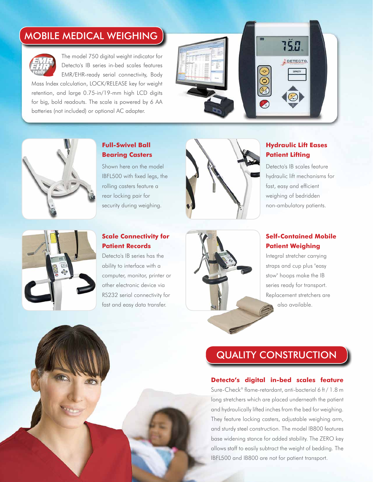## MOBILE MEDICAL WEIGHING



The model 750 digital weight indicator for Detecto's IB series in-bed scales features EMR/EHR-ready serial connectivity, Body

Mass Index calculation, LOCK/RELEASE key for weight retention, and large 0.75-in/19-mm high LCD digits for big, bold readouts. The scale is powered by 6 AA batteries (not included) or optional AC adapter.





### **Full-Swivel Ball Bearing Casters**

Shown here on the model IBFL500 with fixed legs, the rolling casters feature a rear locking pair for security during weighing.



#### **Hydraulic Lift Eases Patient Lifting**

Detecto's IB scales feature hydraulic lift mechanisms for fast, easy and efficient weighing of bedridden non-ambulatory patients.



#### **Scale Connectivity for Patient Records**

Detecto's IB series has the ability to interface with a computer, monitor, printer or other electronic device via RS232 serial connectivity for fast and easy data transfer.



#### **Self-Contained Mobile Patient Weighing**

Integral stretcher carrying straps and cup plus "easy stow" hoops make the IB series ready for transport. Replacement stretchers are also available.

## QUALITY CONSTRUCTION

#### **Detecto's digital in-bed scales feature**

Sure-Check® flame-retardant, anti-bacterial 6 ft / 1.8 m long stretchers which are placed underneath the patient and hydraulically lifted inches from the bed for weighing. They feature locking casters, adjustable weighing arm, and sturdy steel construction. The model IB800 features base widening stance for added stability. The ZERO key allows staff to easily subtract the weight of bedding. The IBFL500 and IB800 are not for patient transport.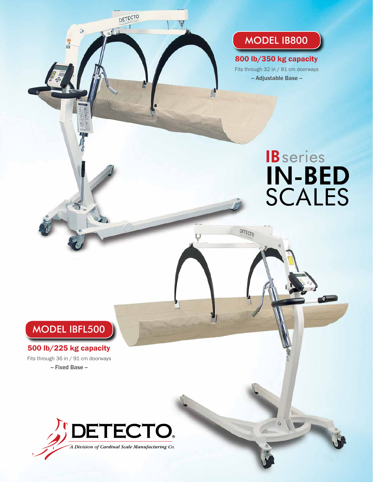## MODEL IB800

Fits through 32 in / 81 cm doorways -- Adjustable Base -- 800 lb/350 kg capacity

DETECTO

## **B** series **IN-BED**<br>SCALES

## MODEL IBFL500

#### 500 lb/225 kg capacity

Fits through 36 in / 91 cm doorways -- Fixed Base --



DETECTO

Led

買い間